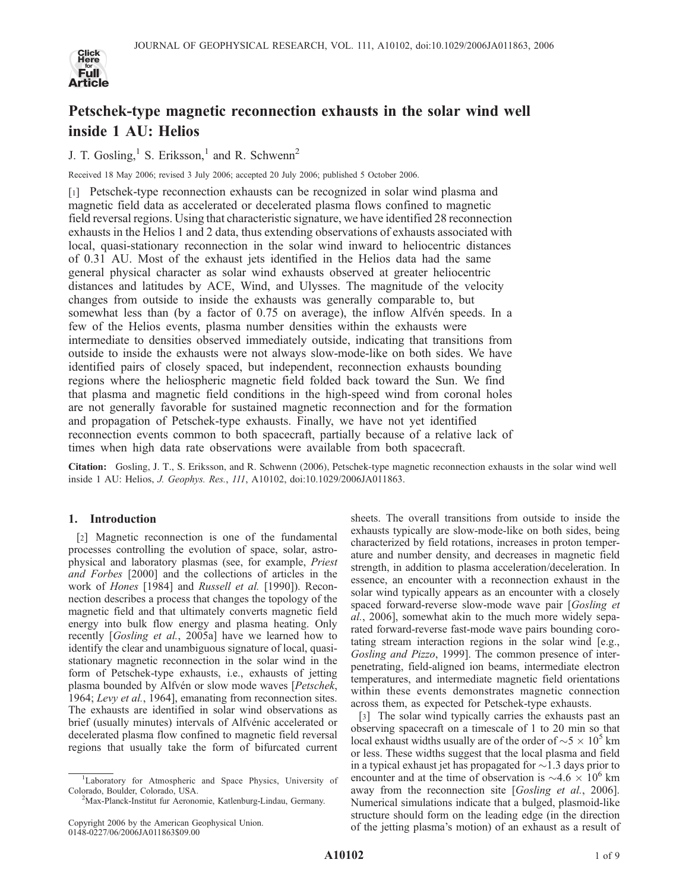

# Petschek-type magnetic reconnection exhausts in the solar wind well inside 1 AU: Helios

J. T. Gosling,<sup>1</sup> S. Eriksson,<sup>1</sup> and R. Schwenn<sup>2</sup>

Received 18 May 2006; revised 3 July 2006; accepted 20 July 2006; published 5 October 2006.

[1] Petschek-type reconnection exhausts can be recognized in solar wind plasma and magnetic field data as accelerated or decelerated plasma flows confined to magnetic field reversal regions. Using that characteristic signature, we have identified 28 reconnection exhausts in the Helios 1 and 2 data, thus extending observations of exhausts associated with local, quasi-stationary reconnection in the solar wind inward to heliocentric distances of 0.31 AU. Most of the exhaust jets identified in the Helios data had the same general physical character as solar wind exhausts observed at greater heliocentric distances and latitudes by ACE, Wind, and Ulysses. The magnitude of the velocity changes from outside to inside the exhausts was generally comparable to, but somewhat less than (by a factor of 0.75 on average), the inflow Alfvén speeds. In a few of the Helios events, plasma number densities within the exhausts were intermediate to densities observed immediately outside, indicating that transitions from outside to inside the exhausts were not always slow-mode-like on both sides. We have identified pairs of closely spaced, but independent, reconnection exhausts bounding regions where the heliospheric magnetic field folded back toward the Sun. We find that plasma and magnetic field conditions in the high-speed wind from coronal holes are not generally favorable for sustained magnetic reconnection and for the formation and propagation of Petschek-type exhausts. Finally, we have not yet identified reconnection events common to both spacecraft, partially because of a relative lack of times when high data rate observations were available from both spacecraft.

Citation: Gosling, J. T., S. Eriksson, and R. Schwenn (2006), Petschek-type magnetic reconnection exhausts in the solar wind well inside 1 AU: Helios, J. Geophys. Res., 111, A10102, doi:10.1029/2006JA011863.

# 1. Introduction

[2] Magnetic reconnection is one of the fundamental processes controlling the evolution of space, solar, astrophysical and laboratory plasmas (see, for example, Priest and Forbes [2000] and the collections of articles in the work of Hones [1984] and Russell et al. [1990]). Reconnection describes a process that changes the topology of the magnetic field and that ultimately converts magnetic field energy into bulk flow energy and plasma heating. Only recently [Gosling et al., 2005a] have we learned how to identify the clear and unambiguous signature of local, quasistationary magnetic reconnection in the solar wind in the form of Petschek-type exhausts, i.e., exhausts of jetting plasma bounded by Alfvén or slow mode waves [Petschek, 1964; Levy et al., 1964], emanating from reconnection sites. The exhausts are identified in solar wind observations as brief (usually minutes) intervals of Alfvénic accelerated or decelerated plasma flow confined to magnetic field reversal regions that usually take the form of bifurcated current

sheets. The overall transitions from outside to inside the exhausts typically are slow-mode-like on both sides, being characterized by field rotations, increases in proton temperature and number density, and decreases in magnetic field strength, in addition to plasma acceleration/deceleration. In essence, an encounter with a reconnection exhaust in the solar wind typically appears as an encounter with a closely spaced forward-reverse slow-mode wave pair [Gosling et al., 2006], somewhat akin to the much more widely separated forward-reverse fast-mode wave pairs bounding corotating stream interaction regions in the solar wind [e.g., Gosling and Pizzo, 1999]. The common presence of interpenetrating, field-aligned ion beams, intermediate electron temperatures, and intermediate magnetic field orientations within these events demonstrates magnetic connection across them, as expected for Petschek-type exhausts.

[3] The solar wind typically carries the exhausts past an observing spacecraft on a timescale of 1 to 20 min so that local exhaust widths usually are of the order of  $\sim$  5  $\times$  10<sup>5</sup> km or less. These widths suggest that the local plasma and field in a typical exhaust jet has propagated for  $\sim$  1.3 days prior to encounter and at the time of observation is  $\sim$ 4.6  $\times$  10<sup>6</sup> km away from the reconnection site [Gosling et al., 2006]. Numerical simulations indicate that a bulged, plasmoid-like structure should form on the leading edge (in the direction of the jetting plasma's motion) of an exhaust as a result of

<sup>&</sup>lt;sup>1</sup>Laboratory for Atmospheric and Space Physics, University of Colorado, Boulder, Colorado, USA. <sup>2</sup>

<sup>&</sup>lt;sup>2</sup>Max-Planck-Institut fur Aeronomie, Katlenburg-Lindau, Germany.

Copyright 2006 by the American Geophysical Union. 0148-0227/06/2006JA011863\$09.00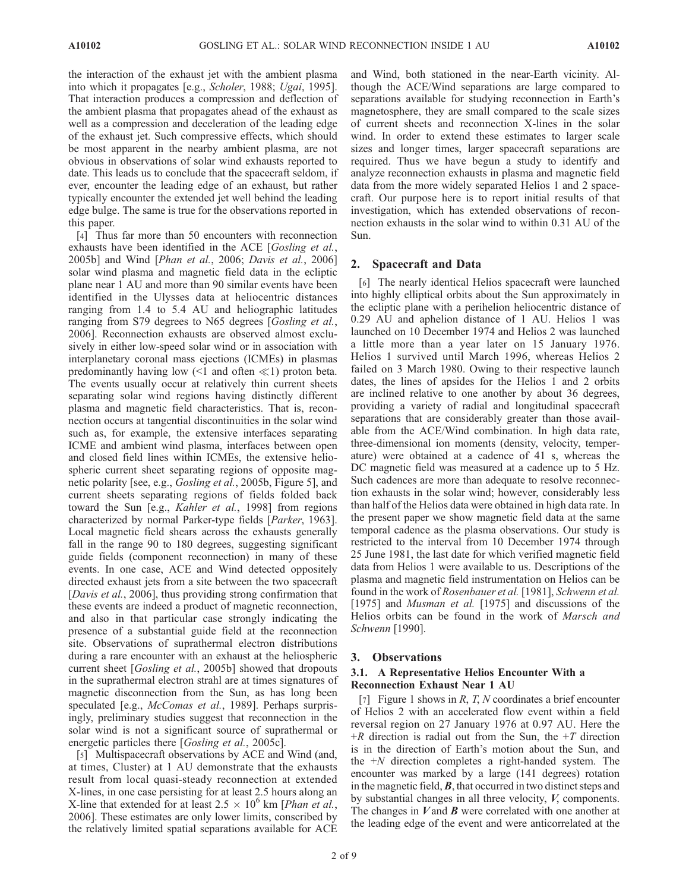the interaction of the exhaust jet with the ambient plasma into which it propagates [e.g., Scholer, 1988; Ugai, 1995]. That interaction produces a compression and deflection of the ambient plasma that propagates ahead of the exhaust as well as a compression and deceleration of the leading edge of the exhaust jet. Such compressive effects, which should be most apparent in the nearby ambient plasma, are not obvious in observations of solar wind exhausts reported to date. This leads us to conclude that the spacecraft seldom, if ever, encounter the leading edge of an exhaust, but rather typically encounter the extended jet well behind the leading edge bulge. The same is true for the observations reported in this paper.

[4] Thus far more than 50 encounters with reconnection exhausts have been identified in the ACE [Gosling et al., 2005b] and Wind [Phan et al., 2006; Davis et al., 2006] solar wind plasma and magnetic field data in the ecliptic plane near 1 AU and more than 90 similar events have been identified in the Ulysses data at heliocentric distances ranging from 1.4 to 5.4 AU and heliographic latitudes ranging from S79 degrees to N65 degrees [Gosling et al., 2006]. Reconnection exhausts are observed almost exclusively in either low-speed solar wind or in association with interplanetary coronal mass ejections (ICMEs) in plasmas predominantly having low  $(1 \text{ and often } \ll 1)$  proton beta. The events usually occur at relatively thin current sheets separating solar wind regions having distinctly different plasma and magnetic field characteristics. That is, reconnection occurs at tangential discontinuities in the solar wind such as, for example, the extensive interfaces separating ICME and ambient wind plasma, interfaces between open and closed field lines within ICMEs, the extensive heliospheric current sheet separating regions of opposite magnetic polarity [see, e.g., Gosling et al., 2005b, Figure 5], and current sheets separating regions of fields folded back toward the Sun [e.g., Kahler et al., 1998] from regions characterized by normal Parker-type fields [Parker, 1963]. Local magnetic field shears across the exhausts generally fall in the range 90 to 180 degrees, suggesting significant guide fields (component reconnection) in many of these events. In one case, ACE and Wind detected oppositely directed exhaust jets from a site between the two spacecraft [Davis et al., 2006], thus providing strong confirmation that these events are indeed a product of magnetic reconnection, and also in that particular case strongly indicating the presence of a substantial guide field at the reconnection site. Observations of suprathermal electron distributions during a rare encounter with an exhaust at the heliospheric current sheet [Gosling et al., 2005b] showed that dropouts in the suprathermal electron strahl are at times signatures of magnetic disconnection from the Sun, as has long been speculated [e.g., McComas et al., 1989]. Perhaps surprisingly, preliminary studies suggest that reconnection in the solar wind is not a significant source of suprathermal or energetic particles there [*Gosling et al.*, 2005c].

[5] Multispacecraft observations by ACE and Wind (and, at times, Cluster) at 1 AU demonstrate that the exhausts result from local quasi-steady reconnection at extended X-lines, in one case persisting for at least 2.5 hours along an X-line that extended for at least  $2.5 \times 10^6$  km [*Phan et al.*, 2006]. These estimates are only lower limits, conscribed by the relatively limited spatial separations available for ACE

and Wind, both stationed in the near-Earth vicinity. Although the ACE/Wind separations are large compared to separations available for studying reconnection in Earth's magnetosphere, they are small compared to the scale sizes of current sheets and reconnection X-lines in the solar wind. In order to extend these estimates to larger scale sizes and longer times, larger spacecraft separations are required. Thus we have begun a study to identify and analyze reconnection exhausts in plasma and magnetic field data from the more widely separated Helios 1 and 2 spacecraft. Our purpose here is to report initial results of that investigation, which has extended observations of reconnection exhausts in the solar wind to within 0.31 AU of the Sun.

# 2. Spacecraft and Data

[6] The nearly identical Helios spacecraft were launched into highly elliptical orbits about the Sun approximately in the ecliptic plane with a perihelion heliocentric distance of 0.29 AU and aphelion distance of 1 AU. Helios 1 was launched on 10 December 1974 and Helios 2 was launched a little more than a year later on 15 January 1976. Helios 1 survived until March 1996, whereas Helios 2 failed on 3 March 1980. Owing to their respective launch dates, the lines of apsides for the Helios 1 and 2 orbits are inclined relative to one another by about 36 degrees, providing a variety of radial and longitudinal spacecraft separations that are considerably greater than those available from the ACE/Wind combination. In high data rate, three-dimensional ion moments (density, velocity, temperature) were obtained at a cadence of 41 s, whereas the DC magnetic field was measured at a cadence up to 5 Hz. Such cadences are more than adequate to resolve reconnection exhausts in the solar wind; however, considerably less than half of the Helios data were obtained in high data rate. In the present paper we show magnetic field data at the same temporal cadence as the plasma observations. Our study is restricted to the interval from 10 December 1974 through 25 June 1981, the last date for which verified magnetic field data from Helios 1 were available to us. Descriptions of the plasma and magnetic field instrumentation on Helios can be found in the work of Rosenbauer et al. [1981], Schwenn et al. [1975] and *Musman et al.* [1975] and discussions of the Helios orbits can be found in the work of Marsch and Schwenn [1990].

# 3. Observations

# 3.1. A Representative Helios Encounter With a Reconnection Exhaust Near 1 AU

[7] Figure 1 shows in  $R$ ,  $T$ ,  $N$  coordinates a brief encounter of Helios 2 with an accelerated flow event within a field reversal region on 27 January 1976 at 0.97 AU. Here the  $+R$  direction is radial out from the Sun, the  $+T$  direction is in the direction of Earth's motion about the Sun, and the  $+N$  direction completes a right-handed system. The encounter was marked by a large (141 degrees) rotation in the magnetic field,  $\bm{B}$ , that occurred in two distinct steps and by substantial changes in all three velocity, V, components. The changes in  $V$  and  $B$  were correlated with one another at the leading edge of the event and were anticorrelated at the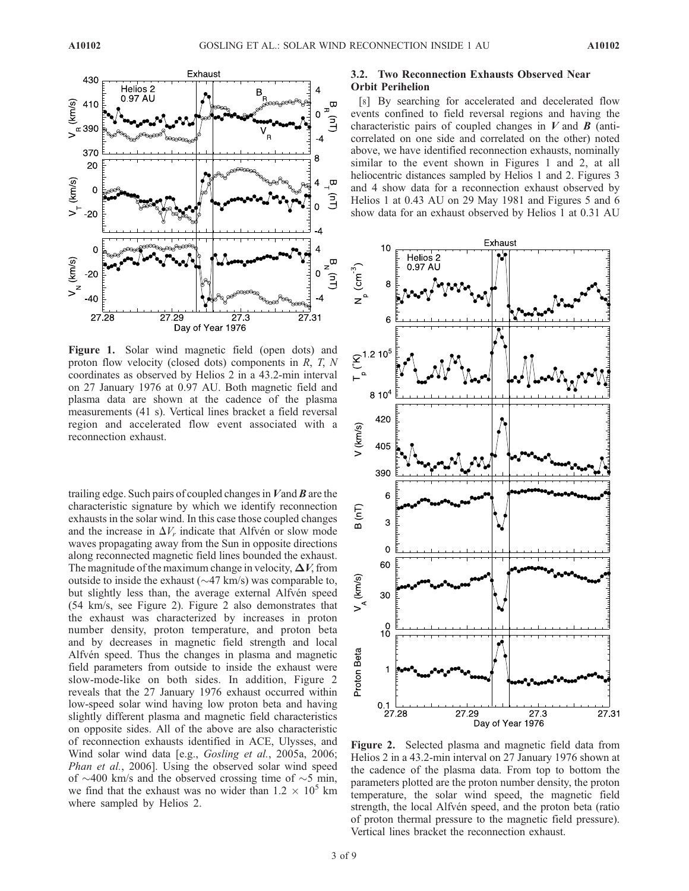

Figure 1. Solar wind magnetic field (open dots) and proton flow velocity (closed dots) components in R, T, N coordinates as observed by Helios 2 in a 43.2-min interval on 27 January 1976 at 0.97 AU. Both magnetic field and plasma data are shown at the cadence of the plasma measurements (41 s). Vertical lines bracket a field reversal region and accelerated flow event associated with a reconnection exhaust.

trailing edge. Such pairs of coupled changes in  $V$  and  $\bm{B}$  are the characteristic signature by which we identify reconnection exhausts in the solar wind. In this case those coupled changes and the increase in  $\Delta V_r$  indicate that Alfvén or slow mode waves propagating away from the Sun in opposite directions along reconnected magnetic field lines bounded the exhaust. The magnitude of the maximum change in velocity,  $\Delta V$ , from outside to inside the exhaust  $(\sim 47 \text{ km/s})$  was comparable to, but slightly less than, the average external Alfvén speed (54 km/s, see Figure 2). Figure 2 also demonstrates that the exhaust was characterized by increases in proton number density, proton temperature, and proton beta and by decreases in magnetic field strength and local Alfvén speed. Thus the changes in plasma and magnetic field parameters from outside to inside the exhaust were slow-mode-like on both sides. In addition, Figure 2 reveals that the 27 January 1976 exhaust occurred within low-speed solar wind having low proton beta and having slightly different plasma and magnetic field characteristics on opposite sides. All of the above are also characteristic of reconnection exhausts identified in ACE, Ulysses, and Wind solar wind data [e.g., *Gosling et al.*, 2005a, 2006; Phan et al., 2006]. Using the observed solar wind speed of  $\sim$ 400 km/s and the observed crossing time of  $\sim$ 5 min, we find that the exhaust was no wider than  $1.2 \times 10^5$  km where sampled by Helios 2.

# 3.2. Two Reconnection Exhausts Observed Near Orbit Perihelion

[8] By searching for accelerated and decelerated flow events confined to field reversal regions and having the characteristic pairs of coupled changes in  $V$  and  $\boldsymbol{B}$  (anticorrelated on one side and correlated on the other) noted above, we have identified reconnection exhausts, nominally similar to the event shown in Figures 1 and 2, at all heliocentric distances sampled by Helios 1 and 2. Figures 3 and 4 show data for a reconnection exhaust observed by Helios 1 at 0.43 AU on 29 May 1981 and Figures 5 and 6 show data for an exhaust observed by Helios 1 at 0.31 AU



Figure 2. Selected plasma and magnetic field data from Helios 2 in a 43.2-min interval on 27 January 1976 shown at the cadence of the plasma data. From top to bottom the parameters plotted are the proton number density, the proton temperature, the solar wind speed, the magnetic field strength, the local Alfvén speed, and the proton beta (ratio of proton thermal pressure to the magnetic field pressure). Vertical lines bracket the reconnection exhaust.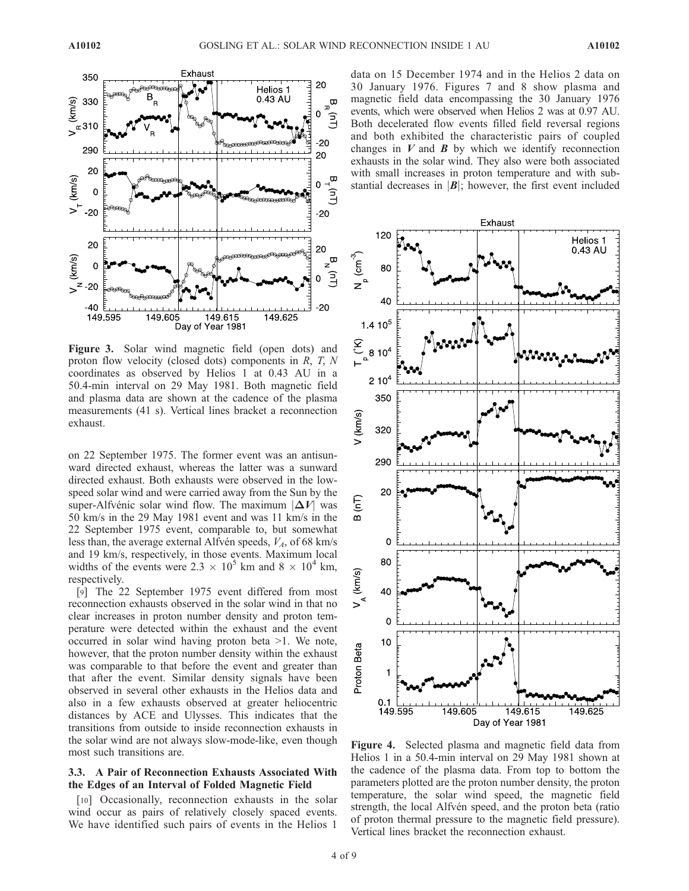

Figure 3. Solar wind magnetic field (open dots) and proton flow velocity (closed dots) components in  $R$ ,  $T$ ,  $N$ coordinates as observed by Helios 1 at 0.43 AU in a 50.4-min interval on 29 May 1981. Both magnetic field and plasma data are shown at the cadence of the plasma measurements (41 s). Vertical lines bracket a reconnection exhaust.

on 22 September 1975. The former event was an antisunward directed exhaust, whereas the latter was a sunward directed exhaust. Both exhausts were observed in the lowspeed solar wind and were carried away from the Sun by the super-Alfvénic solar wind flow. The maximum  $|\Delta V|$  was 50 km/s in the 29 May 1981 event and was 11 km/s in the 22 September 1975 event, comparable to, but somewhat less than, the average external Alfvén speeds,  $V_A$ , of 68 km/s and 19 km/s, respectively, in those events. Maximum local widths of the events were  $2.3 \times 10^5$  km and  $8 \times 10^4$  km, respectively.

[9] The 22 September 1975 event differed from most reconnection exhausts observed in the solar wind in that no clear increases in proton number density and proton temperature were detected within the exhaust and the event occurred in solar wind having proton beta >1. We note, however, that the proton number density within the exhaust was comparable to that before the event and greater than that after the event. Similar density signals have been observed in several other exhausts in the Helios data and also in a few exhausts observed at greater heliocentric distances by ACE and Ulysses. This indicates that the transitions from outside to inside reconnection exhausts in the solar wind are not always slow-mode-like, even though most such transitions are.

# 3.3. A Pair of Reconnection Exhausts Associated With the Edges of an Interval of Folded Magnetic Field

[10] Occasionally, reconnection exhausts in the solar wind occur as pairs of relatively closely spaced events. We have identified such pairs of events in the Helios 1

data on 15 December 1974 and in the Helios 2 data on 30 January 1976. Figures 7 and 8 show plasma and magnetic field data encompassing the 30 January 1976 events, which were observed when Helios 2 was at 0.97 AU. Both decelerated flow events filled field reversal regions and both exhibited the characteristic pairs of coupled changes in  $V$  and  $B$  by which we identify reconnection exhausts in the solar wind. They also were both associated with small increases in proton temperature and with substantial decreases in  $|B|$ ; however, the first event included



Figure 4. Selected plasma and magnetic field data from Helios 1 in a 50.4-min interval on 29 May 1981 shown at the cadence of the plasma data. From top to bottom the parameters plotted are the proton number density, the proton temperature, the solar wind speed, the magnetic field strength, the local Alfvén speed, and the proton beta (ratio of proton thermal pressure to the magnetic field pressure). Vertical lines bracket the reconnection exhaust.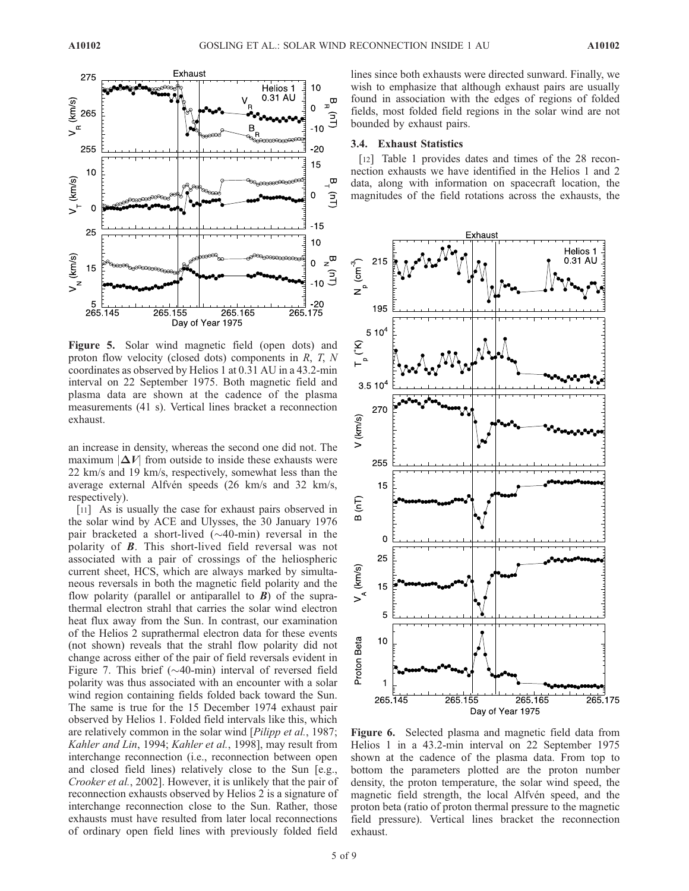

Figure 5. Solar wind magnetic field (open dots) and proton flow velocity (closed dots) components in R, T, N coordinates as observed by Helios 1 at 0.31 AU in a 43.2-min interval on 22 September 1975. Both magnetic field and plasma data are shown at the cadence of the plasma measurements (41 s). Vertical lines bracket a reconnection exhaust.

an increase in density, whereas the second one did not. The maximum  $|\Delta V|$  from outside to inside these exhausts were 22 km/s and 19 km/s, respectively, somewhat less than the average external Alfvén speeds (26 km/s and 32 km/s, respectively).

[11] As is usually the case for exhaust pairs observed in the solar wind by ACE and Ulysses, the 30 January 1976 pair bracketed a short-lived  $(\sim 40$ -min) reversal in the polarity of B. This short-lived field reversal was not associated with a pair of crossings of the heliospheric current sheet, HCS, which are always marked by simultaneous reversals in both the magnetic field polarity and the flow polarity (parallel or antiparallel to  $\bf{B}$ ) of the suprathermal electron strahl that carries the solar wind electron heat flux away from the Sun. In contrast, our examination of the Helios 2 suprathermal electron data for these events (not shown) reveals that the strahl flow polarity did not change across either of the pair of field reversals evident in Figure 7. This brief ( $\sim$ 40-min) interval of reversed field polarity was thus associated with an encounter with a solar wind region containing fields folded back toward the Sun. The same is true for the 15 December 1974 exhaust pair observed by Helios 1. Folded field intervals like this, which are relatively common in the solar wind [*Pilipp et al.*, 1987; Kahler and Lin, 1994; Kahler et al., 1998], may result from interchange reconnection (i.e., reconnection between open and closed field lines) relatively close to the Sun [e.g., Crooker et al., 2002]. However, it is unlikely that the pair of reconnection exhausts observed by Helios 2 is a signature of interchange reconnection close to the Sun. Rather, those exhausts must have resulted from later local reconnections of ordinary open field lines with previously folded field

lines since both exhausts were directed sunward. Finally, we wish to emphasize that although exhaust pairs are usually found in association with the edges of regions of folded fields, most folded field regions in the solar wind are not bounded by exhaust pairs.

#### 3.4. Exhaust Statistics

[12] Table 1 provides dates and times of the 28 reconnection exhausts we have identified in the Helios 1 and 2 data, along with information on spacecraft location, the magnitudes of the field rotations across the exhausts, the



Figure 6. Selected plasma and magnetic field data from Helios 1 in a 43.2-min interval on 22 September 1975 shown at the cadence of the plasma data. From top to bottom the parameters plotted are the proton number density, the proton temperature, the solar wind speed, the magnetic field strength, the local Alfvén speed, and the proton beta (ratio of proton thermal pressure to the magnetic field pressure). Vertical lines bracket the reconnection exhaust.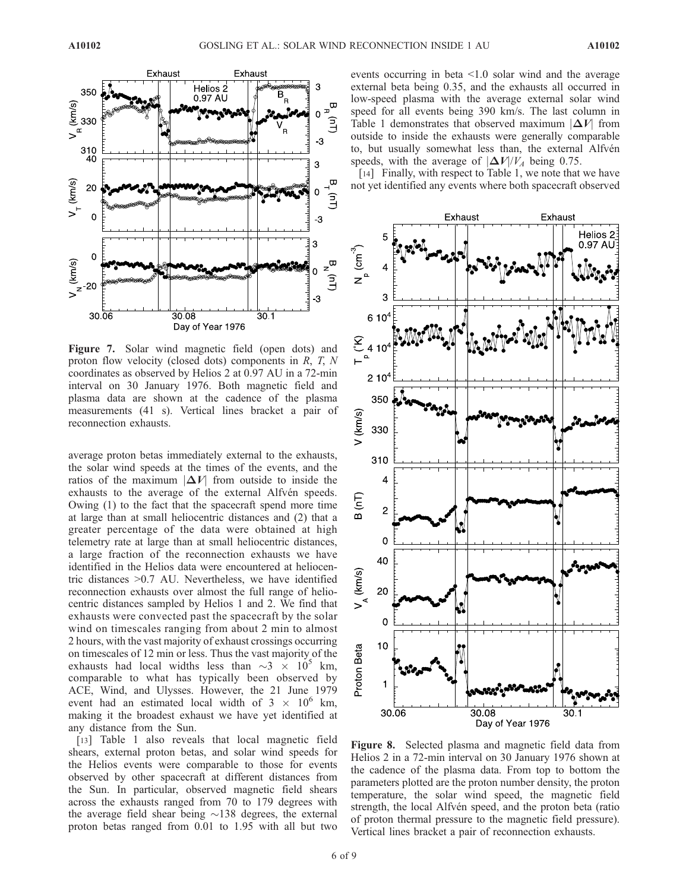

Figure 7. Solar wind magnetic field (open dots) and proton flow velocity (closed dots) components in R, T, N coordinates as observed by Helios 2 at 0.97 AU in a 72-min interval on 30 January 1976. Both magnetic field and plasma data are shown at the cadence of the plasma measurements (41 s). Vertical lines bracket a pair of reconnection exhausts.

average proton betas immediately external to the exhausts, the solar wind speeds at the times of the events, and the ratios of the maximum  $|\Delta V|$  from outside to inside the exhausts to the average of the external Alfvén speeds. Owing (1) to the fact that the spacecraft spend more time at large than at small heliocentric distances and (2) that a greater percentage of the data were obtained at high telemetry rate at large than at small heliocentric distances, a large fraction of the reconnection exhausts we have identified in the Helios data were encountered at heliocentric distances >0.7 AU. Nevertheless, we have identified reconnection exhausts over almost the full range of heliocentric distances sampled by Helios 1 and 2. We find that exhausts were convected past the spacecraft by the solar wind on timescales ranging from about 2 min to almost 2 hours, with the vast majority of exhaust crossings occurring on timescales of 12 min or less. Thus the vast majority of the exhausts had local widths less than  $\sim$ 3  $\times$  10<sup>5</sup> km, comparable to what has typically been observed by ACE, Wind, and Ulysses. However, the 21 June 1979 event had an estimated local width of  $3 \times 10^6$  km, making it the broadest exhaust we have yet identified at any distance from the Sun.

[13] Table 1 also reveals that local magnetic field shears, external proton betas, and solar wind speeds for the Helios events were comparable to those for events observed by other spacecraft at different distances from the Sun. In particular, observed magnetic field shears across the exhausts ranged from 70 to 179 degrees with the average field shear being  $\sim$ 138 degrees, the external proton betas ranged from 0.01 to 1.95 with all but two events occurring in beta <1.0 solar wind and the average external beta being 0.35, and the exhausts all occurred in low-speed plasma with the average external solar wind speed for all events being 390 km/s. The last column in Table 1 demonstrates that observed maximum  $|\Delta V|$  from outside to inside the exhausts were generally comparable to, but usually somewhat less than, the external Alfvén speeds, with the average of  $|\Delta V|/V_A$  being 0.75.

[14] Finally, with respect to Table 1, we note that we have not yet identified any events where both spacecraft observed



Figure 8. Selected plasma and magnetic field data from Helios 2 in a 72-min interval on 30 January 1976 shown at the cadence of the plasma data. From top to bottom the parameters plotted are the proton number density, the proton temperature, the solar wind speed, the magnetic field strength, the local Alfvén speed, and the proton beta (ratio of proton thermal pressure to the magnetic field pressure). Vertical lines bracket a pair of reconnection exhausts.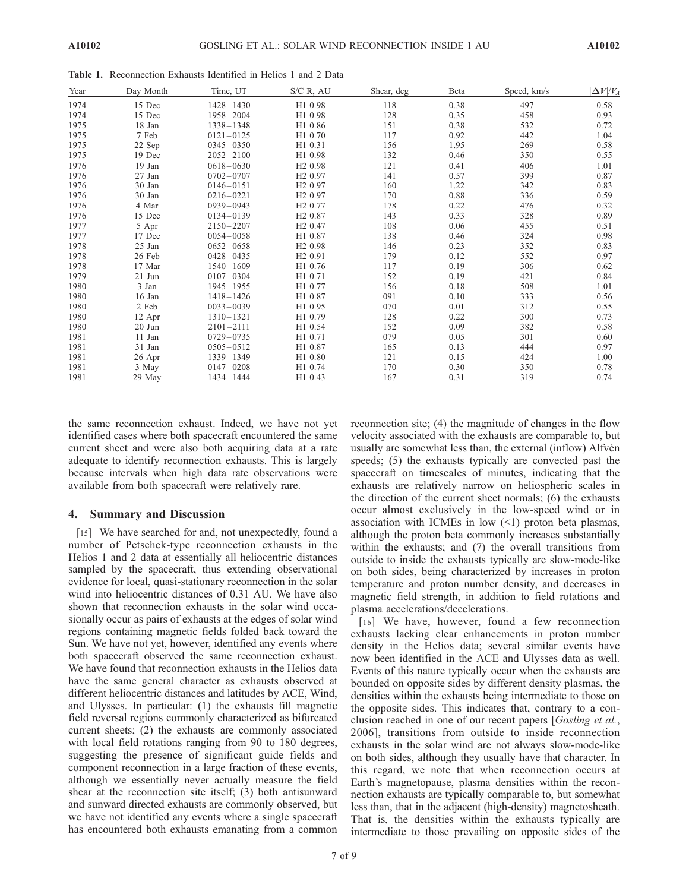1977 17 Dec 0054 – 0058 H1 0.87 138 0.46 324 0.98 1978 25 Jan 0652 – 0658 H2 0.98 146 0.23 352 0.83 1978 26 Feb 0428-0435 H2 0.91 179 0.12 552 0.97 1978 17 Mar 1540 – 1609 H1 0.76 117 0.19 306 0.62 1979 21 Jun 0107-0304 H1 0.71 152 0.19 421 0.84 1980 3 Jan 1945 – 1955 H1 0.77 156 0.18 508 1.01 1980 16 Jan 1418 – 1426 H1 0.87 091 0.10 333 0.56 1980 2 Feb  $0.033 - 0.039$  H1 0.95 070 0.01 312 0.55 1980 12 Apr 1310 – 1321 H1 0.79 128 0.22 300 0.73 1980 20 Jun 2101 – 2111 H1 0.54 152 0.09 382 0.58 1981 11 Jan 0729 – 0735 H1 0.71 079 0.05 301 0.60 1981 31 Jan 0505 – 0512 H1 0.87 165 0.13 444 0.97 1981 26 Apr 1339 – 1349 H1 0.80 121 0.15 424 1.00 1981 3 May 0147 – 0208 H1 0.74 170 0.30 350 0.78 1981 29 May 1434 – 1444 H1 0.43 167 0.31 319 0.74

Year Day Month Time, UT S/C R, AU Shear, deg Beta Speed, km/s  $|\Delta V|/V_A$ 1974 15 Dec 1428 – 1430 H1 0.98 118 0.38 497 0.58 1974 15 Dec 1958 – 2004 H1 0.98 128 0.35 458 0.93 1975 18 Jan 1338 – 1348 H1 0.86 151 0.38 532 0.72 1975 7 Feb  $0121 - 0125$  H1 0.70 117 0.92 442 1.04 1975 22 Sep 0345-0350 H1 0.31 156 1.95 269 0.58 1975 19 Dec 2052 – 2100 H1 0.98 132 0.46 350 0.55 1976 19 Jan 0618 – 0630 H2 0.98 121 0.41 406 1.01 1976 27 Jan 0702 – 0707 H2 0.97 141 0.57 399 0.87 1976 30 Jan 0146-0151 H2 0.97 160 1.22 342 0.83 1976 30 Jan 0216 – 0221 H2 0.97 170 0.88 336 0.59 1976 4 Mar 0939 – 0943 H2 0.77 178 0.22 476 0.32 1976 15 Dec 0134 – 0139 H2 0.87 143 0.33 328 0.89 1977 5 Apr 2150-2207 H2 0.47 108 0.06 455 0.51

Table 1. Reconnection Exhausts Identified in Helios 1 and 2 Data

the same reconnection exhaust. Indeed, we have not yet identified cases where both spacecraft encountered the same current sheet and were also both acquiring data at a rate adequate to identify reconnection exhausts. This is largely because intervals when high data rate observations were available from both spacecraft were relatively rare.

### 4. Summary and Discussion

[15] We have searched for and, not unexpectedly, found a number of Petschek-type reconnection exhausts in the Helios 1 and 2 data at essentially all heliocentric distances sampled by the spacecraft, thus extending observational evidence for local, quasi-stationary reconnection in the solar wind into heliocentric distances of 0.31 AU. We have also shown that reconnection exhausts in the solar wind occasionally occur as pairs of exhausts at the edges of solar wind regions containing magnetic fields folded back toward the Sun. We have not yet, however, identified any events where both spacecraft observed the same reconnection exhaust. We have found that reconnection exhausts in the Helios data have the same general character as exhausts observed at different heliocentric distances and latitudes by ACE, Wind, and Ulysses. In particular: (1) the exhausts fill magnetic field reversal regions commonly characterized as bifurcated current sheets; (2) the exhausts are commonly associated with local field rotations ranging from 90 to 180 degrees, suggesting the presence of significant guide fields and component reconnection in a large fraction of these events, although we essentially never actually measure the field shear at the reconnection site itself; (3) both antisunward and sunward directed exhausts are commonly observed, but we have not identified any events where a single spacecraft has encountered both exhausts emanating from a common

reconnection site; (4) the magnitude of changes in the flow velocity associated with the exhausts are comparable to, but usually are somewhat less than, the external (inflow) Alfvén speeds; (5) the exhausts typically are convected past the spacecraft on timescales of minutes, indicating that the exhausts are relatively narrow on heliospheric scales in the direction of the current sheet normals; (6) the exhausts occur almost exclusively in the low-speed wind or in association with ICMEs in low  $(\leq 1)$  proton beta plasmas, although the proton beta commonly increases substantially within the exhausts; and (7) the overall transitions from outside to inside the exhausts typically are slow-mode-like on both sides, being characterized by increases in proton temperature and proton number density, and decreases in magnetic field strength, in addition to field rotations and plasma accelerations/decelerations.

[16] We have, however, found a few reconnection exhausts lacking clear enhancements in proton number density in the Helios data; several similar events have now been identified in the ACE and Ulysses data as well. Events of this nature typically occur when the exhausts are bounded on opposite sides by different density plasmas, the densities within the exhausts being intermediate to those on the opposite sides. This indicates that, contrary to a conclusion reached in one of our recent papers [Gosling et al., 2006], transitions from outside to inside reconnection exhausts in the solar wind are not always slow-mode-like on both sides, although they usually have that character. In this regard, we note that when reconnection occurs at Earth's magnetopause, plasma densities within the reconnection exhausts are typically comparable to, but somewhat less than, that in the adjacent (high-density) magnetosheath. That is, the densities within the exhausts typically are intermediate to those prevailing on opposite sides of the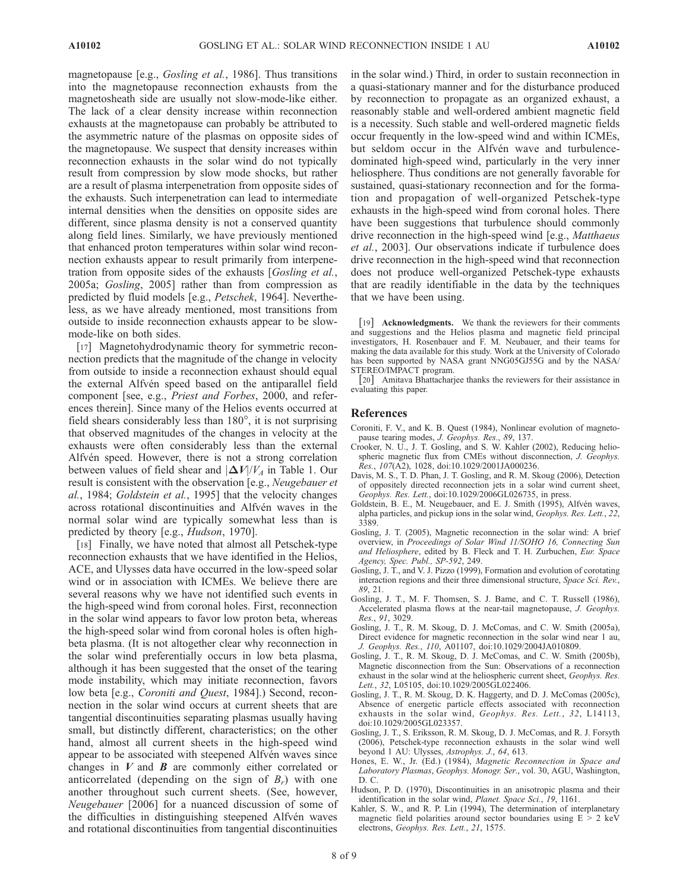magnetopause [e.g., *Gosling et al.*, 1986]. Thus transitions into the magnetopause reconnection exhausts from the magnetosheath side are usually not slow-mode-like either. The lack of a clear density increase within reconnection exhausts at the magnetopause can probably be attributed to the asymmetric nature of the plasmas on opposite sides of the magnetopause. We suspect that density increases within reconnection exhausts in the solar wind do not typically result from compression by slow mode shocks, but rather are a result of plasma interpenetration from opposite sides of the exhausts. Such interpenetration can lead to intermediate internal densities when the densities on opposite sides are different, since plasma density is not a conserved quantity along field lines. Similarly, we have previously mentioned that enhanced proton temperatures within solar wind reconnection exhausts appear to result primarily from interpenetration from opposite sides of the exhausts [Gosling et al., 2005a; Gosling, 2005] rather than from compression as predicted by fluid models [e.g., Petschek, 1964]. Nevertheless, as we have already mentioned, most transitions from outside to inside reconnection exhausts appear to be slowmode-like on both sides.

[17] Magnetohydrodynamic theory for symmetric reconnection predicts that the magnitude of the change in velocity from outside to inside a reconnection exhaust should equal the external Alfvén speed based on the antiparallel field component [see, e.g., Priest and Forbes, 2000, and references therein]. Since many of the Helios events occurred at field shears considerably less than  $180^\circ$ , it is not surprising that observed magnitudes of the changes in velocity at the exhausts were often considerably less than the external Alfvén speed. However, there is not a strong correlation between values of field shear and  $\left|\Delta V/V_A\right|$  in Table 1. Our result is consistent with the observation [e.g., Neugebauer et al., 1984; Goldstein et al., 1995] that the velocity changes across rotational discontinuities and Alfvén waves in the normal solar wind are typically somewhat less than is predicted by theory [e.g., Hudson, 1970].

[18] Finally, we have noted that almost all Petschek-type reconnection exhausts that we have identified in the Helios, ACE, and Ulysses data have occurred in the low-speed solar wind or in association with ICMEs. We believe there are several reasons why we have not identified such events in the high-speed wind from coronal holes. First, reconnection in the solar wind appears to favor low proton beta, whereas the high-speed solar wind from coronal holes is often highbeta plasma. (It is not altogether clear why reconnection in the solar wind preferentially occurs in low beta plasma, although it has been suggested that the onset of the tearing mode instability, which may initiate reconnection, favors low beta [e.g., Coroniti and Quest, 1984].) Second, reconnection in the solar wind occurs at current sheets that are tangential discontinuities separating plasmas usually having small, but distinctly different, characteristics; on the other hand, almost all current sheets in the high-speed wind appear to be associated with steepened Alfvén waves since changes in  $V$  and  $B$  are commonly either correlated or anticorrelated (depending on the sign of  $B_r$ ) with one another throughout such current sheets. (See, however, Neugebauer [2006] for a nuanced discussion of some of the difficulties in distinguishing steepened Alfvén waves and rotational discontinuities from tangential discontinuities

in the solar wind.) Third, in order to sustain reconnection in a quasi-stationary manner and for the disturbance produced by reconnection to propagate as an organized exhaust, a reasonably stable and well-ordered ambient magnetic field is a necessity. Such stable and well-ordered magnetic fields occur frequently in the low-speed wind and within ICMEs, but seldom occur in the Alfvén wave and turbulencedominated high-speed wind, particularly in the very inner heliosphere. Thus conditions are not generally favorable for sustained, quasi-stationary reconnection and for the formation and propagation of well-organized Petschek-type exhausts in the high-speed wind from coronal holes. There have been suggestions that turbulence should commonly drive reconnection in the high-speed wind [e.g., Matthaeus] et al., 2003]. Our observations indicate if turbulence does drive reconnection in the high-speed wind that reconnection does not produce well-organized Petschek-type exhausts that are readily identifiable in the data by the techniques that we have been using.

[19] **Acknowledgments.** We thank the reviewers for their comments and suggestions and the Helios plasma and magnetic field principal investigators, H. Rosenbauer and F. M. Neubauer, and their teams for making the data available for this study. Work at the University of Colorado has been supported by NASA grant NNG05GJ55G and by the NASA/ STEREO/IMPACT program.

[20] Amitava Bhattacharjee thanks the reviewers for their assistance in evaluating this paper.

# References

- Coroniti, F. V., and K. B. Quest (1984), Nonlinear evolution of magnetopause tearing modes, J. Geophys. Res., 89, 137.
- Crooker, N. U., J. T. Gosling, and S. W. Kahler (2002), Reducing heliospheric magnetic flux from CMEs without disconnection, J. Geophys.  $R$ es., 107(A2), 1028, doi:10.1029/2001JA000236.
- Davis, M. S., T. D. Phan, J. T. Gosling, and R. M. Skoug (2006), Detection of oppositely directed reconnection jets in a solar wind current sheet, Geophys. Res. Lett., doi:10.1029/2006GL026735, in press.
- Goldstein, B. E., M. Neugebauer, and E. J. Smith (1995), Alfvén waves, alpha particles, and pickup ions in the solar wind, Geophys. Res. Lett., 22, 3389.
- Gosling, J. T. (2005), Magnetic reconnection in the solar wind: A brief overview, in Proceedings of Solar Wind 11/SOHO 16, Connecting Sun and Heliosphere, edited by B. Fleck and T. H. Zurbuchen, Eur. Space Agency, Spec. Publ., SP-592, 249.
- Gosling, J. T., and V. J. Pizzo (1999), Formation and evolution of corotating interaction regions and their three dimensional structure, Space Sci. Rev., 89, 21.
- Gosling, J. T., M. F. Thomsen, S. J. Bame, and C. T. Russell (1986), Accelerated plasma flows at the near-tail magnetopause, J. Geophys. Res., 91, 3029.
- Gosling, J. T., R. M. Skoug, D. J. McComas, and C. W. Smith (2005a), Direct evidence for magnetic reconnection in the solar wind near 1 au, J. Geophys. Res., 110, A01107, doi:10.1029/2004JA010809.
- Gosling, J. T., R. M. Skoug, D. J. McComas, and C. W. Smith (2005b), Magnetic disconnection from the Sun: Observations of a reconnection exhaust in the solar wind at the heliospheric current sheet, Geophys. Res. Lett., 32, L05105, doi:10.1029/2005GL022406.
- Gosling, J. T., R. M. Skoug, D. K. Haggerty, and D. J. McComas (2005c), Absence of energetic particle effects associated with reconnection exhausts in the solar wind, Geophys. Res. Lett., 32, L14113, doi:10.1029/2005GL023357.
- Gosling, J. T., S. Eriksson, R. M. Skoug, D. J. McComas, and R. J. Forsyth (2006), Petschek-type reconnection exhausts in the solar wind well beyond 1 AU: Ulysses, Astrophys. J., 64, 613.
- Hones, E. W., Jr. (Ed.) (1984), Magnetic Reconnection in Space and Laboratory Plasmas, Geophys. Monogr. Ser., vol. 30, AGU, Washington, D. C.
- Hudson, P. D. (1970), Discontinuities in an anisotropic plasma and their identification in the solar wind, Planet. Space Sci., 19, 1161.
- Kahler, S. W., and R. P. Lin (1994), The determination of interplanetary magnetic field polarities around sector boundaries using  $E > 2$  keV electrons, Geophys. Res. Lett., 21, 1575.